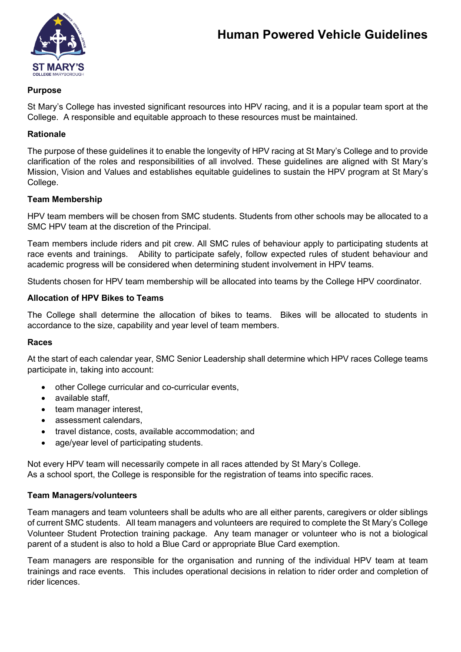

## **Purpose**

St Mary's College has invested significant resources into HPV racing, and it is a popular team sport at the College. A responsible and equitable approach to these resources must be maintained.

## **Rationale**

The purpose of these guidelines it to enable the longevity of HPV racing at St Mary's College and to provide clarification of the roles and responsibilities of all involved. These guidelines are aligned with St Mary's Mission, Vision and Values and establishes equitable guidelines to sustain the HPV program at St Mary's College.

### **Team Membership**

HPV team members will be chosen from SMC students. Students from other schools may be allocated to a SMC HPV team at the discretion of the Principal.

Team members include riders and pit crew. All SMC rules of behaviour apply to participating students at race events and trainings. Ability to participate safely, follow expected rules of student behaviour and academic progress will be considered when determining student involvement in HPV teams.

Students chosen for HPV team membership will be allocated into teams by the College HPV coordinator.

### **Allocation of HPV Bikes to Teams**

The College shall determine the allocation of bikes to teams. Bikes will be allocated to students in accordance to the size, capability and year level of team members.

### **Races**

At the start of each calendar year, SMC Senior Leadership shall determine which HPV races College teams participate in, taking into account:

- other College curricular and co-curricular events,
- available staff,
- team manager interest,
- assessment calendars.
- travel distance, costs, available accommodation; and
- age/year level of participating students.

Not every HPV team will necessarily compete in all races attended by St Mary's College. As a school sport, the College is responsible for the registration of teams into specific races.

### **Team Managers/volunteers**

Team managers and team volunteers shall be adults who are all either parents, caregivers or older siblings of current SMC students. All team managers and volunteers are required to complete the St Mary's College Volunteer Student Protection training package. Any team manager or volunteer who is not a biological parent of a student is also to hold a Blue Card or appropriate Blue Card exemption.

Team managers are responsible for the organisation and running of the individual HPV team at team trainings and race events. This includes operational decisions in relation to rider order and completion of rider licences.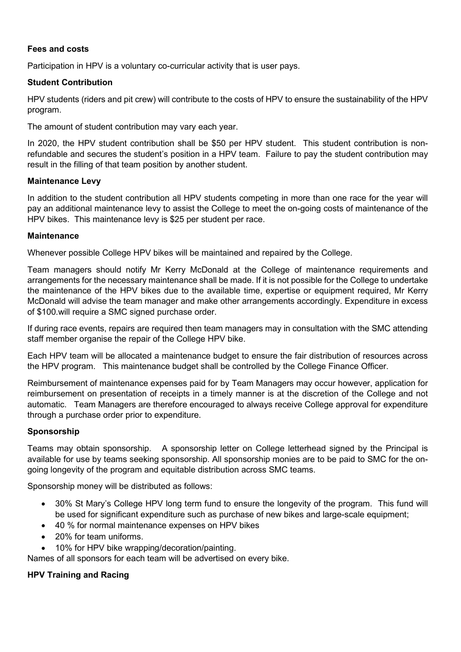## **Fees and costs**

Participation in HPV is a voluntary co-curricular activity that is user pays.

# **Student Contribution**

HPV students (riders and pit crew) will contribute to the costs of HPV to ensure the sustainability of the HPV program.

The amount of student contribution may vary each year.

In 2020, the HPV student contribution shall be \$50 per HPV student. This student contribution is nonrefundable and secures the student's position in a HPV team. Failure to pay the student contribution may result in the filling of that team position by another student.

### **Maintenance Levy**

In addition to the student contribution all HPV students competing in more than one race for the year will pay an additional maintenance levy to assist the College to meet the on-going costs of maintenance of the HPV bikes. This maintenance levy is \$25 per student per race.

### **Maintenance**

Whenever possible College HPV bikes will be maintained and repaired by the College.

Team managers should notify Mr Kerry McDonald at the College of maintenance requirements and arrangements for the necessary maintenance shall be made. If it is not possible for the College to undertake the maintenance of the HPV bikes due to the available time, expertise or equipment required, Mr Kerry McDonald will advise the team manager and make other arrangements accordingly. Expenditure in excess of \$100.will require a SMC signed purchase order.

If during race events, repairs are required then team managers may in consultation with the SMC attending staff member organise the repair of the College HPV bike.

Each HPV team will be allocated a maintenance budget to ensure the fair distribution of resources across the HPV program. This maintenance budget shall be controlled by the College Finance Officer.

Reimbursement of maintenance expenses paid for by Team Managers may occur however, application for reimbursement on presentation of receipts in a timely manner is at the discretion of the College and not automatic. Team Managers are therefore encouraged to always receive College approval for expenditure through a purchase order prior to expenditure.

### **Sponsorship**

Teams may obtain sponsorship. A sponsorship letter on College letterhead signed by the Principal is available for use by teams seeking sponsorship. All sponsorship monies are to be paid to SMC for the ongoing longevity of the program and equitable distribution across SMC teams.

Sponsorship money will be distributed as follows:

- 30% St Mary's College HPV long term fund to ensure the longevity of the program. This fund will be used for significant expenditure such as purchase of new bikes and large-scale equipment;
- 40 % for normal maintenance expenses on HPV bikes
- 20% for team uniforms.
- 10% for HPV bike wrapping/decoration/painting.

Names of all sponsors for each team will be advertised on every bike.

### **HPV Training and Racing**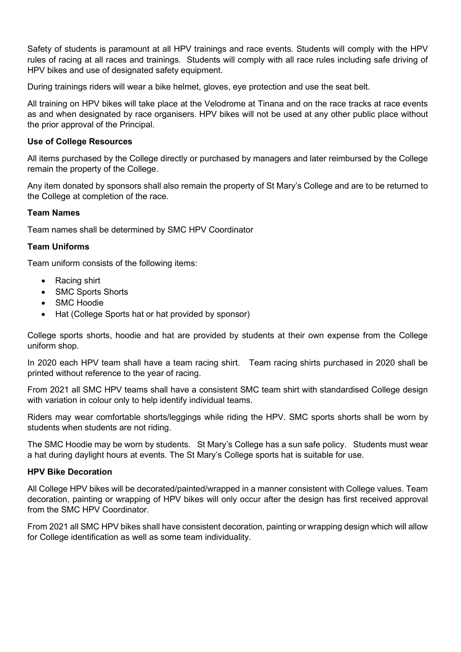Safety of students is paramount at all HPV trainings and race events. Students will comply with the HPV rules of racing at all races and trainings. Students will comply with all race rules including safe driving of HPV bikes and use of designated safety equipment.

During trainings riders will wear a bike helmet, gloves, eye protection and use the seat belt.

All training on HPV bikes will take place at the Velodrome at Tinana and on the race tracks at race events as and when designated by race organisers. HPV bikes will not be used at any other public place without the prior approval of the Principal.

#### **Use of College Resources**

All items purchased by the College directly or purchased by managers and later reimbursed by the College remain the property of the College.

Any item donated by sponsors shall also remain the property of St Mary's College and are to be returned to the College at completion of the race.

#### **Team Names**

Team names shall be determined by SMC HPV Coordinator

#### **Team Uniforms**

Team uniform consists of the following items:

- Racing shirt
- SMC Sports Shorts
- SMC Hoodie
- Hat (College Sports hat or hat provided by sponsor)

College sports shorts, hoodie and hat are provided by students at their own expense from the College uniform shop.

In 2020 each HPV team shall have a team racing shirt. Team racing shirts purchased in 2020 shall be printed without reference to the year of racing.

From 2021 all SMC HPV teams shall have a consistent SMC team shirt with standardised College design with variation in colour only to help identify individual teams.

Riders may wear comfortable shorts/leggings while riding the HPV. SMC sports shorts shall be worn by students when students are not riding.

The SMC Hoodie may be worn by students. St Mary's College has a sun safe policy. Students must wear a hat during daylight hours at events. The St Mary's College sports hat is suitable for use.

#### **HPV Bike Decoration**

All College HPV bikes will be decorated/painted/wrapped in a manner consistent with College values. Team decoration, painting or wrapping of HPV bikes will only occur after the design has first received approval from the SMC HPV Coordinator.

From 2021 all SMC HPV bikes shall have consistent decoration, painting or wrapping design which will allow for College identification as well as some team individuality.